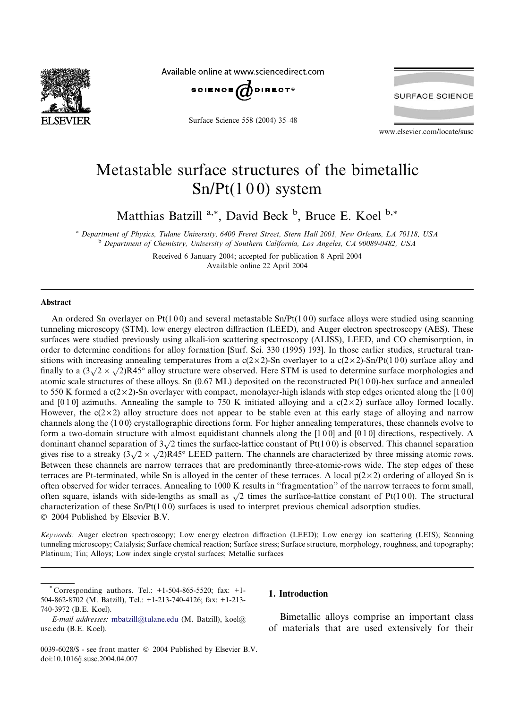

Available online at www.sciencedirect.com



Surface Science 558 (2004) 35–48



www.elsevier.com/locate/susc

# Metastable surface structures of the bimetallic  $Sn/Pt(100)$  system

Matthias Batzill <sup>a,\*</sup>, David Beck <sup>b</sup>, Bruce E. Koel <sup>b,\*</sup>

<sup>a</sup> Department of Physics, Tulane University, 6400 Freret Street, Stern Hall 2001, New Orleans, LA 70118, USA <sup>b</sup> Department of Chemistry, University of Southern California, Los Angeles, CA 90089-0482, USA

> Received 6 January 2004; accepted for publication 8 April 2004 Available online 22 April 2004

## Abstract

An ordered Sn overlayer on Pt(100) and several metastable  $Sn/Pt(100)$  surface alloys were studied using scanning tunneling microscopy (STM), low energy electron diffraction (LEED), and Auger electron spectroscopy (AES). These surfaces were studied previously using alkali-ion scattering spectroscopy (ALISS), LEED, and CO chemisorption, in order to determine conditions for alloy formation [Surf. Sci. 330 (1995) 193]. In those earlier studies, structural transitions with increasing annealing temperatures from a  $c(2\times 2)$ -Sn overlayer to a  $c(2\times 2)$ -Sn/Pt(100) surface alloy and finally to a  $(3\sqrt{2} \times \sqrt{2})R45^\circ$  alloy structure were observed. Here STM is used to determine surface morphologies and atomic scale structures of these alloys. Sn  $(0.67 \text{ ML})$  deposited on the reconstructed Pt $(1\ 0\ 0)$ -hex surface and annealed to 550 K formed a  $c(2 \times 2)$ -Sn overlayer with compact, monolayer-high islands with step edges oriented along the [100] and [0 1 0] azimuths. Annealing the sample to 750 K initiated alloying and a  $c(2\times2)$  surface alloy formed locally. However, the  $c(2\times2)$  alloy structure does not appear to be stable even at this early stage of alloying and narrow channels along the  $\langle 100 \rangle$  crystallographic directions form. For higher annealing temperatures, these channels evolve to form a two-domain structure with almost equidistant channels along the  $[1\,0\,0]$  and  $[0\,1\,0]$  directions, respectively. A dominant channel separation of  $3\sqrt{2}$  times the surface-lattice constant of Pt(100) is observed. This channel separation gives rise to a streaky  $(3\sqrt{2} \times \sqrt{2})R45^{\circ}$  LEED pattern. The channels are characterized by three missing atomic rows. Between these channels are narrow terraces that are predominantly three-atomic-rows wide. The step edges of these terraces are Pt-terminated, while Sn is alloyed in the center of these terraces. A local  $p(2\times 2)$  ordering of alloyed Sn is often observed for wider terraces. Annealing to 1000 K results in ''fragmentation'' of the narrow terraces to form small, often square, islands with side-lengths as small as  $\sqrt{2}$  times the surface-lattice constant of Pt(100). The structural characterization of these Sn/Pt(1 0 0) surfaces is used to interpret previous chemical adsorption studies.  $\odot$  2004 Published by Elsevier B.V.

Keywords: Auger electron spectroscopy; Low energy electron diffraction (LEED); Low energy ion scattering (LEIS); Scanning tunneling microscopy; Catalysis; Surface chemical reaction; Surface stress; Surface structure, morphology, roughness, and topography; Platinum; Tin; Alloys; Low index single crystal surfaces; Metallic surfaces

Corresponding authors. Tel.:  $+1-504-865-5520$ ; fax:  $+1-$ 504-862-8702 (M. Batzill), Tel.: +1-213-740-4126; fax: +1-213- 740-3972 (B.E. Koel).

## 1. Introduction

Bimetallic alloys comprise an important class of materials that are used extensively for their

E-mail addresses: [mbatzill@tulane.edu](mail to: mbatzill@tulane.edu) (M. Batzill), koel@ usc.edu (B.E. Koel).

<sup>0039-6028/\$ -</sup> see front matter  $\odot$  2004 Published by Elsevier B.V. doi:10.1016/j.susc.2004.04.007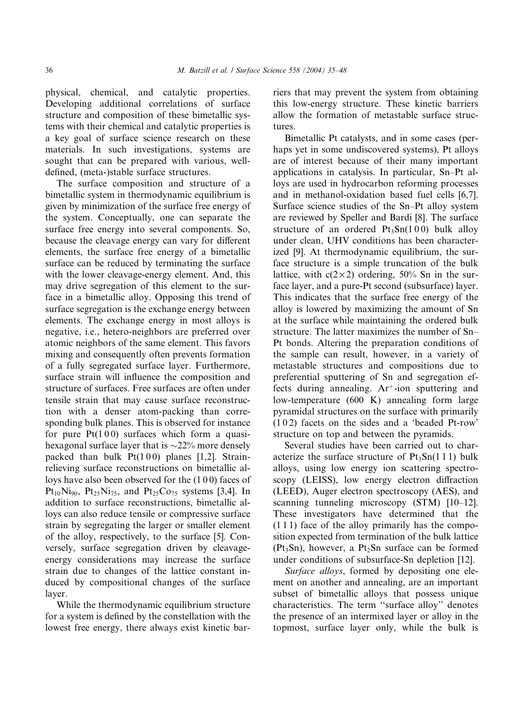physical, chemical, and catalytic properties. Developing additional correlations of surface structure and composition of these bimetallic systems with their chemical and catalytic properties is a key goal of surface science research on these materials. In such investigations, systems are sought that can be prepared with various, welldefined, (meta-)stable surface structures.

The surface composition and structure of a bimetallic system in thermodynamic equilibrium is given by minimization of the surface free energy of the system. Conceptually, one can separate the surface free energy into several components. So, because the cleavage energy can vary for different elements, the surface free energy of a bimetallic surface can be reduced by terminating the surface with the lower cleavage-energy element. And, this may drive segregation of this element to the surface in a bimetallic alloy. Opposing this trend of surface segregation is the exchange energy between elements. The exchange energy in most alloys is negative, i.e., hetero-neighbors are preferred over atomic neighbors of the same element. This favors mixing and consequently often prevents formation of a fully segregated surface layer. Furthermore, surface strain will influence the composition and structure of surfaces. Free surfaces are often under tensile strain that may cause surface reconstruction with a denser atom-packing than corresponding bulk planes. This is observed for instance for pure  $Pt(100)$  surfaces which form a quasihexagonal surface layer that is  $\sim$ 22% more densely packed than bulk  $Pt(100)$  planes [1,2]. Strainrelieving surface reconstructions on bimetallic alloys have also been observed for the (1 0 0) faces of  $Pt_{10}Ni_{90}$ ,  $Pt_{25}Ni_{75}$ , and  $Pt_{25}Co_{75}$  systems [3,4]. In addition to surface reconstructions, bimetallic alloys can also reduce tensile or compressive surface strain by segregating the larger or smaller element of the alloy, respectively, to the surface [5]. Conversely, surface segregation driven by cleavageenergy considerations may increase the surface strain due to changes of the lattice constant induced by compositional changes of the surface layer.

While the thermodynamic equilibrium structure for a system is defined by the constellation with the lowest free energy, there always exist kinetic barriers that may prevent the system from obtaining this low-energy structure. These kinetic barriers allow the formation of metastable surface structures.

Bimetallic Pt catalysts, and in some cases (perhaps yet in some undiscovered systems), Pt alloys are of interest because of their many important applications in catalysis. In particular, Sn–Pt alloys are used in hydrocarbon reforming processes and in methanol-oxidation based fuel cells [6,7]. Surface science studies of the Sn–Pt alloy system are reviewed by Speller and Bardi [8]. The surface structure of an ordered  $Pt_3Sn(100)$  bulk alloy under clean, UHV conditions has been characterized [9]. At thermodynamic equilibrium, the surface structure is a simple truncation of the bulk lattice, with  $c(2\times2)$  ordering, 50% Sn in the surface layer, and a pure-Pt second (subsurface) layer. This indicates that the surface free energy of the alloy is lowered by maximizing the amount of Sn at the surface while maintaining the ordered bulk structure. The latter maximizes the number of Sn– Pt bonds. Altering the preparation conditions of the sample can result, however, in a variety of metastable structures and compositions due to preferential sputtering of Sn and segregation effects during annealing.  $Ar^+$ -ion sputtering and low-temperature (600 K) annealing form large pyramidal structures on the surface with primarily (1 0 2) facets on the sides and a 'beaded Pt-row' structure on top and between the pyramids.

Several studies have been carried out to characterize the surface structure of  $Pt_3Sn(1\ 1\ 1)$  bulk alloys, using low energy ion scattering spectroscopy (LEISS), low energy electron diffraction (LEED), Auger electron spectroscopy (AES), and scanning tunneling microscopy (STM) [10–12]. These investigators have determined that the (1 1 1) face of the alloy primarily has the composition expected from termination of the bulk lattice  $(Pt<sub>3</sub>Sn)$ , however, a  $Pt<sub>2</sub>Sn$  surface can be formed under conditions of subsurface-Sn depletion [12].

Surface alloys, formed by depositing one element on another and annealing, are an important subset of bimetallic alloys that possess unique characteristics. The term ''surface alloy'' denotes the presence of an intermixed layer or alloy in the topmost, surface layer only, while the bulk is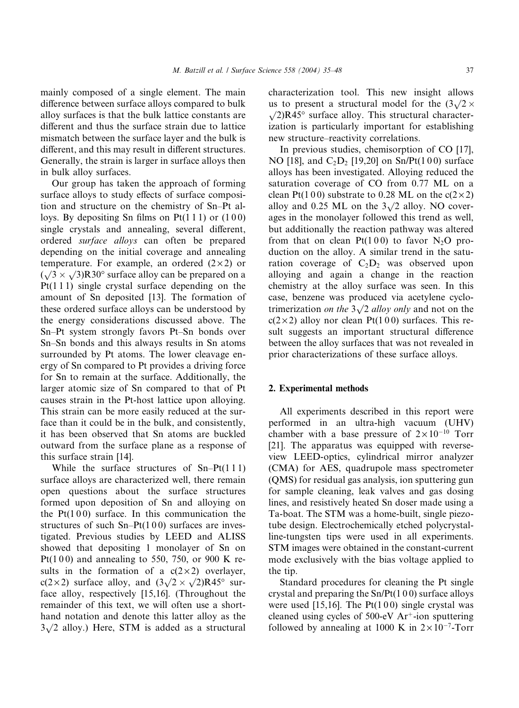mainly composed of a single element. The main difference between surface alloys compared to bulk alloy surfaces is that the bulk lattice constants are different and thus the surface strain due to lattice mismatch between the surface layer and the bulk is different, and this may result in different structures. Generally, the strain is larger in surface alloys then in bulk alloy surfaces.

Our group has taken the approach of forming surface alloys to study effects of surface composition and structure on the chemistry of Sn–Pt alloys. By depositing Sn films on  $Pt(1\ 1\ 1)$  or  $(1\ 0\ 0)$ single crystals and annealing, several different, ordered surface alloys can often be prepared depending on the initial coverage and annealing temperature. For example, an ordered  $(2 \times 2)$  or  $(\sqrt{3} \times \sqrt{3})R30^\circ$  surface alloy can be prepared on a  $Pt(1\ 1\ 1)$  single crystal surface depending on the amount of Sn deposited [13]. The formation of these ordered surface alloys can be understood by the energy considerations discussed above. The Sn–Pt system strongly favors Pt–Sn bonds over Sn–Sn bonds and this always results in Sn atoms surrounded by Pt atoms. The lower cleavage energy of Sn compared to Pt provides a driving force for Sn to remain at the surface. Additionally, the larger atomic size of Sn compared to that of Pt causes strain in the Pt-host lattice upon alloying. This strain can be more easily reduced at the surface than it could be in the bulk, and consistently, it has been observed that Sn atoms are buckled outward from the surface plane as a response of this surface strain [14].

While the surface structures of Sn–Pt(111) surface alloys are characterized well, there remain open questions about the surface structures formed upon deposition of Sn and alloying on the  $Pt(100)$  surface. In this communication the structures of such  $Sn-Pt(100)$  surfaces are investigated. Previous studies by LEED and ALISS showed that depositing 1 monolayer of Sn on Pt(100) and annealing to 550, 750, or 900 K results in the formation of a  $c(2\times2)$  overlayer, c(2 × 2) surface alloy, and  $(3\sqrt{2} \times \sqrt{2})R45^{\circ}$  surface alloy, respectively [15,16]. (Throughout the remainder of this text, we will often use a shorthand notation and denote this latter alloy as the  $3\sqrt{2}$  alloy.) Here, STM is added as a structural

characterization tool. This new insight allows us to present a structural model for the  $(3\sqrt{2} \times$  $\sqrt{2}$ R45° surface alloy. This structural characterization is particularly important for establishing new structure–reactivity correlations.

In previous studies, chemisorption of CO [17], NO [18], and  $C_2D_2$  [19,20] on Sn/Pt(100) surface alloys has been investigated. Alloying reduced the saturation coverage of CO from 0.77 ML on a clean Pt(100) substrate to 0.28 ML on the  $c(2\times 2)$ alloy and 0.25 ML on the  $3\sqrt{2}$  alloy. NO coverages in the monolayer followed this trend as well, but additionally the reaction pathway was altered from that on clean  $Pt(100)$  to favor N<sub>2</sub>O production on the alloy. A similar trend in the saturation coverage of  $C_2D_2$  was observed upon alloying and again a change in the reaction chemistry at the alloy surface was seen. In this case, benzene was produced via acetylene cyclotrimerization *on the*  $3\sqrt{2}$  *alloy only* and not on the  $c(2\times2)$  alloy nor clean Pt(100) surfaces. This result suggests an important structural difference between the alloy surfaces that was not revealed in prior characterizations of these surface alloys.

### 2. Experimental methods

All experiments described in this report were performed in an ultra-high vacuum (UHV) chamber with a base pressure of  $2 \times 10^{-10}$  Torr [21]. The apparatus was equipped with reverseview LEED-optics, cylindrical mirror analyzer (CMA) for AES, quadrupole mass spectrometer (QMS) for residual gas analysis, ion sputtering gun for sample cleaning, leak valves and gas dosing lines, and resistively heated Sn doser made using a Ta-boat. The STM was a home-built, single piezotube design. Electrochemically etched polycrystalline-tungsten tips were used in all experiments. STM images were obtained in the constant-current mode exclusively with the bias voltage applied to the tip.

Standard procedures for cleaning the Pt single crystal and preparing the  $Sn/Pt(100)$  surface alloys were used  $[15,16]$ . The Pt $(100)$  single crystal was cleaned using cycles of  $500-eV$  Ar<sup>+</sup>-ion sputtering followed by annealing at 1000 K in  $2 \times 10^{-7}$ -Torr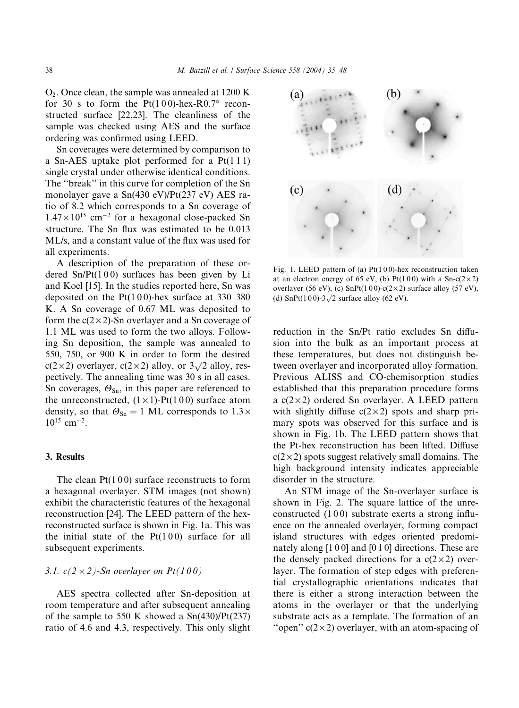O2. Once clean, the sample was annealed at 1200 K for 30 s to form the  $Pt(100)$ -hex-R0.7° reconstructed surface [22,23]. The cleanliness of the sample was checked using AES and the surface ordering was confirmed using LEED.

Sn coverages were determined by comparison to a Sn-AES uptake plot performed for a Pt(1 1 1) single crystal under otherwise identical conditions. The ''break'' in this curve for completion of the Sn monolayer gave a Sn(430 eV)/Pt(237 eV) AES ratio of 8.2 which corresponds to a Sn coverage of  $1.47 \times 10^{15}$  cm<sup>-2</sup> for a hexagonal close-packed Sn structure. The Sn flux was estimated to be 0.013 ML/s, and a constant value of the flux was used for all experiments.

A description of the preparation of these ordered  $Sn/Pt(100)$  surfaces has been given by Li and Koel [15]. In the studies reported here, Sn was deposited on the  $Pt(100)$ -hex surface at 330–380 K. A Sn coverage of 0.67 ML was deposited to form the  $c(2 \times 2)$ -Sn overlayer and a Sn coverage of 1.1 ML was used to form the two alloys. Following Sn deposition, the sample was annealed to 550, 750, or 900 K in order to form the desired c(2 × 2) overlayer, c(2 × 2) alloy, or  $3\sqrt{2}$  alloy, respectively. The annealing time was 30 s in all cases. Sn coverages,  $\Theta_{\text{Sn}}$ , in this paper are referenced to the unreconstructed,  $(1 \times 1)$ -Pt $(1 0 0)$  surface atom density, so that  $\Theta_{\text{Sn}} = 1$  ML corresponds to  $1.3 \times$  $10^{15}$  cm<sup>-2</sup>.

# 3. Results

The clean  $Pt(100)$  surface reconstructs to form a hexagonal overlayer. STM images (not shown) exhibit the characteristic features of the hexagonal reconstruction [24]. The LEED pattern of the hexreconstructed surface is shown in Fig. 1a. This was the initial state of the  $Pt(100)$  surface for all subsequent experiments.

# 3.1.  $c(2 \times 2)$ -Sn overlayer on Pt(100)

AES spectra collected after Sn-deposition at room temperature and after subsequent annealing of the sample to 550 K showed a Sn(430)/Pt(237) ratio of 4.6 and 4.3, respectively. This only slight



Fig. 1. LEED pattern of (a)  $Pt(100)$ -hex reconstruction taken at an electron energy of 65 eV, (b) Pt(100) with a Sn-c( $2 \times 2$ ) overlayer (56 eV), (c) SnPt(100)-c(2×2) surface alloy (57 eV), (d) SnPt(100)-3 $\sqrt{2}$  surface alloy (62 eV).

reduction in the Sn/Pt ratio excludes Sn diffusion into the bulk as an important process at these temperatures, but does not distinguish between overlayer and incorporated alloy formation. Previous ALISS and CO-chemisorption studies established that this preparation procedure forms a  $c(2\times2)$  ordered Sn overlayer. A LEED pattern with slightly diffuse  $c(2\times2)$  spots and sharp primary spots was observed for this surface and is shown in Fig. 1b. The LEED pattern shows that the Pt-hex reconstruction has been lifted. Diffuse  $c(2\times 2)$  spots suggest relatively small domains. The high background intensity indicates appreciable disorder in the structure.

An STM image of the Sn-overlayer surface is shown in Fig. 2. The square lattice of the unreconstructed  $(100)$  substrate exerts a strong influence on the annealed overlayer, forming compact island structures with edges oriented predominately along [100] and [010] directions. These are the densely packed directions for a  $c(2\times2)$  overlayer. The formation of step edges with preferential crystallographic orientations indicates that there is either a strong interaction between the atoms in the overlayer or that the underlying substrate acts as a template. The formation of an "open"  $c(2 \times 2)$  overlayer, with an atom-spacing of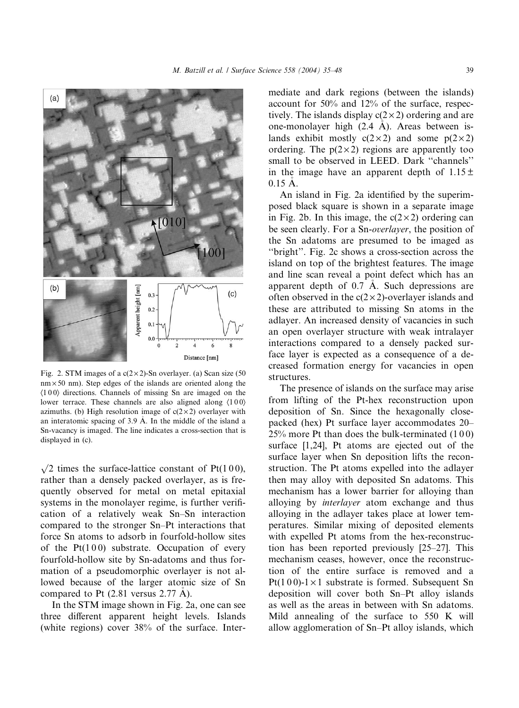

Fig. 2. STM images of a  $c(2\times2)$ -Sn overlayer. (a) Scan size (50  $nm \times 50$  nm). Step edges of the islands are oriented along the  $(100)$  directions. Channels of missing Sn are imaged on the lower terrace. These channels are also aligned along  $\langle 100 \rangle$ azimuths. (b) High resolution image of  $c(2\times2)$  overlayer with an interatomic spacing of 3.9 A. In the middle of the island a Sn-vacancy is imaged. The line indicates a cross-section that is displayed in (c).

 $\sqrt{2}$  times the surface-lattice constant of Pt(100), rather than a densely packed overlayer, as is frequently observed for metal on metal epitaxial systems in the monolayer regime, is further verification of a relatively weak Sn–Sn interaction compared to the stronger Sn–Pt interactions that force Sn atoms to adsorb in fourfold-hollow sites of the  $Pt(100)$  substrate. Occupation of every fourfold-hollow site by Sn-adatoms and thus formation of a pseudomorphic overlayer is not allowed because of the larger atomic size of Sn compared to Pt (2.81 versus 2.77 A).

In the STM image shown in Fig. 2a, one can see three different apparent height levels. Islands (white regions) cover 38% of the surface. Intermediate and dark regions (between the islands) account for 50% and 12% of the surface, respectively. The islands display  $c(2 \times 2)$  ordering and are one-monolayer high (2.4 A). Areas between is lands exhibit mostly  $c(2 \times 2)$  and some  $p(2 \times 2)$ ordering. The  $p(2\times 2)$  regions are apparently too small to be observed in LEED. Dark ''channels'' in the image have an apparent depth of  $1.15 \pm$ 0.15 A.

An island in Fig. 2a identified by the superimposed black square is shown in a separate image in Fig. 2b. In this image, the  $c(2\times 2)$  ordering can be seen clearly. For a Sn-overlayer, the position of the Sn adatoms are presumed to be imaged as ''bright''. Fig. 2c shows a cross-section across the island on top of the brightest features. The image and line scan reveal a point defect which has an apparent depth of 0.7 A. Such depressions are often observed in the  $c(2\times 2)$ -overlayer islands and these are attributed to missing Sn atoms in the adlayer. An increased density of vacancies in such an open overlayer structure with weak intralayer interactions compared to a densely packed surface layer is expected as a consequence of a decreased formation energy for vacancies in open structures.

The presence of islands on the surface may arise from lifting of the Pt-hex reconstruction upon deposition of Sn. Since the hexagonally closepacked (hex) Pt surface layer accommodates 20– 25% more Pt than does the bulk-terminated (1 0 0) surface [1,24], Pt atoms are ejected out of the surface layer when Sn deposition lifts the reconstruction. The Pt atoms expelled into the adlayer then may alloy with deposited Sn adatoms. This mechanism has a lower barrier for alloying than alloying by interlayer atom exchange and thus alloying in the adlayer takes place at lower temperatures. Similar mixing of deposited elements with expelled Pt atoms from the hex-reconstruction has been reported previously [25–27]. This mechanism ceases, however, once the reconstruction of the entire surface is removed and a Pt(100)-1 $\times$ 1 substrate is formed. Subsequent Sn deposition will cover both Sn–Pt alloy islands as well as the areas in between with Sn adatoms. Mild annealing of the surface to 550 K will allow agglomeration of Sn–Pt alloy islands, which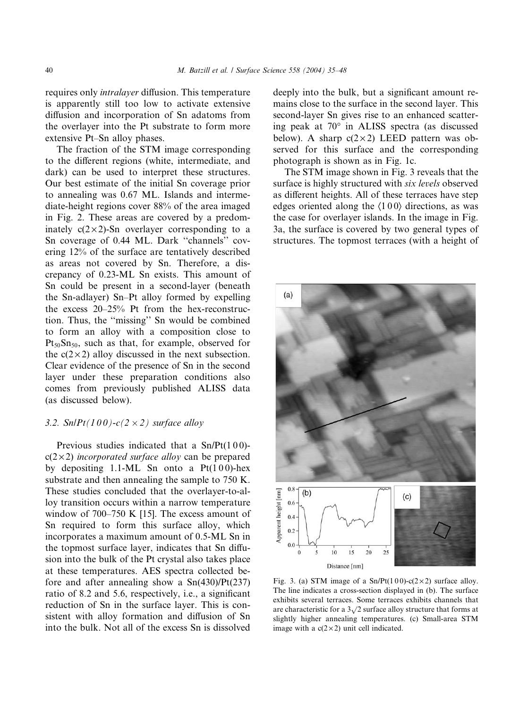requires only intralayer diffusion. This temperature is apparently still too low to activate extensive diffusion and incorporation of Sn adatoms from the overlayer into the Pt substrate to form more extensive Pt–Sn alloy phases.

The fraction of the STM image corresponding to the different regions (white, intermediate, and dark) can be used to interpret these structures. Our best estimate of the initial Sn coverage prior to annealing was 0.67 ML. Islands and intermediate-height regions cover 88% of the area imaged in Fig. 2. These areas are covered by a predominately  $c(2 \times 2)$ -Sn overlayer corresponding to a Sn coverage of 0.44 ML. Dark ''channels'' covering 12% of the surface are tentatively described as areas not covered by Sn. Therefore, a discrepancy of 0.23-ML Sn exists. This amount of Sn could be present in a second-layer (beneath the Sn-adlayer) Sn–Pt alloy formed by expelling the excess 20–25% Pt from the hex-reconstruction. Thus, the ''missing'' Sn would be combined to form an alloy with a composition close to  $Pt_{50}Sn_{50}$ , such as that, for example, observed for the  $c(2 \times 2)$  alloy discussed in the next subsection. Clear evidence of the presence of Sn in the second layer under these preparation conditions also comes from previously published ALISS data (as discussed below).

# 3.2.  $Sn/Pt(100)-c(2\times2)$  surface alloy

Previous studies indicated that a Sn/Pt(100) $c(2\times 2)$  incorporated surface alloy can be prepared by depositing 1.1-ML Sn onto a  $Pt(100)$ -hex substrate and then annealing the sample to 750 K. These studies concluded that the overlayer-to-alloy transition occurs within a narrow temperature window of 700–750 K [15]. The excess amount of Sn required to form this surface alloy, which incorporates a maximum amount of 0.5-ML Sn in the topmost surface layer, indicates that Sn diffusion into the bulk of the Pt crystal also takes place at these temperatures. AES spectra collected before and after annealing show a Sn(430)/Pt(237) ratio of 8.2 and 5.6, respectively, i.e., a significant reduction of Sn in the surface layer. This is consistent with alloy formation and diffusion of Sn into the bulk. Not all of the excess Sn is dissolved deeply into the bulk, but a significant amount remains close to the surface in the second layer. This second-layer Sn gives rise to an enhanced scattering peak at  $70^{\circ}$  in ALISS spectra (as discussed below). A sharp  $c(2\times2)$  LEED pattern was observed for this surface and the corresponding photograph is shown as in Fig. 1c.

The STM image shown in Fig. 3 reveals that the surface is highly structured with six levels observed as different heights. All of these terraces have step edges oriented along the  $(100)$  directions, as was the case for overlayer islands. In the image in Fig. 3a, the surface is covered by two general types of structures. The topmost terraces (with a height of



Fig. 3. (a) STM image of a Sn/Pt(100)-c(2×2) surface alloy. The line indicates a cross-section displayed in (b). The surface exhibits several terraces. Some terraces exhibits channels that are characteristic for a  $3\sqrt{2}$  surface alloy structure that forms at slightly higher annealing temperatures. (c) Small-area STM image with a  $c(2 \times 2)$  unit cell indicated.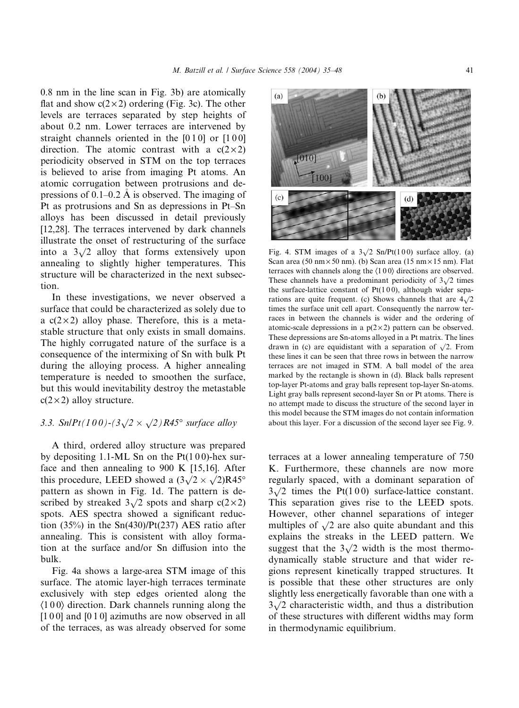0.8 nm in the line scan in Fig. 3b) are atomically flat and show  $c(2\times2)$  ordering (Fig. 3c). The other levels are terraces separated by step heights of about 0.2 nm. Lower terraces are intervened by straight channels oriented in the  $[010]$  or  $[100]$ direction. The atomic contrast with a  $c(2\times2)$ periodicity observed in STM on the top terraces is believed to arise from imaging Pt atoms. An atomic corrugation between protrusions and depressions of 0.1–0.2 A is observed. The imaging of Pt as protrusions and Sn as depressions in Pt–Sn alloys has been discussed in detail previously [12,28]. The terraces intervened by dark channels illustrate the onset of restructuring of the surface into a  $3\sqrt{2}$  alloy that forms extensively upon annealing to slightly higher temperatures. This structure will be characterized in the next subsection.

In these investigations, we never observed a surface that could be characterized as solely due to a  $c(2\times2)$  alloy phase. Therefore, this is a metastable structure that only exists in small domains. The highly corrugated nature of the surface is a consequence of the intermixing of Sn with bulk Pt during the alloying process. A higher annealing temperature is needed to smoothen the surface, but this would inevitability destroy the metastable  $c(2\times 2)$  alloy structure.

# 3.3. SnlPt(100)-(3 $\sqrt{2} \times \sqrt{2}$ )R45° surface alloy

A third, ordered alloy structure was prepared by depositing 1.1-ML Sn on the  $Pt(100)$ -hex surface and then annealing to 900 K [15,16]. After this procedure, LEED showed a  $(3\sqrt{2} \times \sqrt{2})R45^{\circ}$ pattern as shown in Fig. 1d. The pattern is described by streaked  $3\sqrt{2}$  spots and sharp c(2 × 2) spots. AES spectra showed a significant reduction  $(35\%)$  in the Sn $(430)/Pt(237)$  AES ratio after annealing. This is consistent with alloy formation at the surface and/or Sn diffusion into the bulk.

Fig. 4a shows a large-area STM image of this surface. The atomic layer-high terraces terminate exclusively with step edges oriented along the  $(100)$  direction. Dark channels running along the [1 0 0] and [0 1 0] azimuths are now observed in all of the terraces, as was already observed for some



Fig. 4. STM images of a  $3\sqrt{2}$  Sn/Pt(100) surface alloy. (a) Scan area (50 nm  $\times$  50 nm). (b) Scan area (15 nm  $\times$  15 nm). Flat terraces with channels along the  $(100)$  directions are observed. These channels have a predominant periodicity of  $3\sqrt{2}$  times the surface-lattice constant of  $Pt(100)$ , although wider separations are quite frequent. (c) Shows channels that are  $4\sqrt{2}$ times the surface unit cell apart. Consequently the narrow terraces in between the channels is wider and the ordering of atomic-scale depressions in a  $p(2\times2)$  pattern can be observed. These depressions are Sn-atoms alloyed in a Pt matrix. The lines drawn in (c) are equidistant with a separation of  $\sqrt{2}$ . From these lines it can be seen that three rows in between the narrow terraces are not imaged in STM. A ball model of the area marked by the rectangle is shown in (d). Black balls represent top-layer Pt-atoms and gray balls represent top-layer Sn-atoms. Light gray balls represent second-layer Sn or Pt atoms. There is no attempt made to discuss the structure of the second layer in this model because the STM images do not contain information about this layer. For a discussion of the second layer see Fig. 9.

terraces at a lower annealing temperature of 750 K. Furthermore, these channels are now more regularly spaced, with a dominant separation of Equilibrium Spaced, with a dominant separation of  $3\sqrt{2}$  times the Pt(100) surface-lattice constant. This separation gives rise to the LEED spots. However, other channel separations of integer multiples of  $\sqrt{2}$  are also quite abundant and this explains the streaks in the LEED pattern. We suggest that the  $3\sqrt{2}$  width is the most thermodynamically stable structure and that wider regions represent kinetically trapped structures. It is possible that these other structures are only slightly less energetically favorable than one with a signity less energetically ravorable than one with a  $3\sqrt{2}$  characteristic width, and thus a distribution of these structures with different widths may form in thermodynamic equilibrium.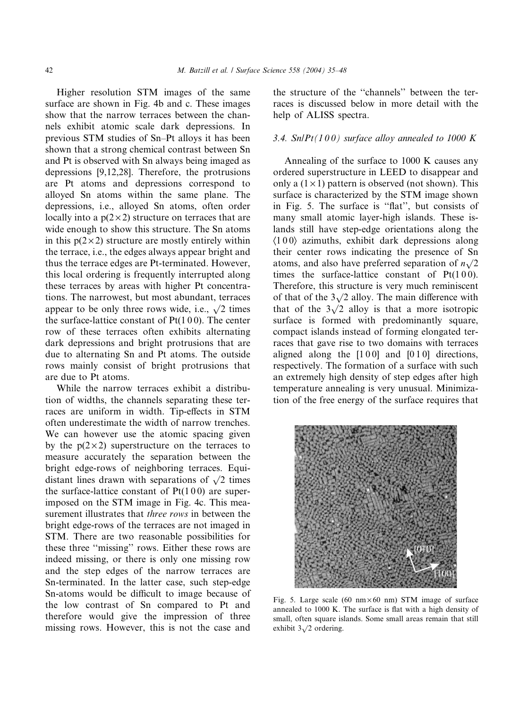Higher resolution STM images of the same surface are shown in Fig. 4b and c. These images show that the narrow terraces between the channels exhibit atomic scale dark depressions. In previous STM studies of Sn–Pt alloys it has been shown that a strong chemical contrast between Sn and Pt is observed with Sn always being imaged as depressions [9,12,28]. Therefore, the protrusions are Pt atoms and depressions correspond to alloyed Sn atoms within the same plane. The depressions, i.e., alloyed Sn atoms, often order locally into a  $p(2\times 2)$  structure on terraces that are wide enough to show this structure. The Sn atoms in this  $p(2 \times 2)$  structure are mostly entirely within the terrace, i.e., the edges always appear bright and thus the terrace edges are Pt-terminated. However, this local ordering is frequently interrupted along these terraces by areas with higher Pt concentrations. The narrowest, but most abundant, terraces appear to be only three rows wide, i.e.,  $\sqrt{2}$  times the surface-lattice constant of  $Pt(100)$ . The center row of these terraces often exhibits alternating dark depressions and bright protrusions that are due to alternating Sn and Pt atoms. The outside rows mainly consist of bright protrusions that are due to Pt atoms.

While the narrow terraces exhibit a distribution of widths, the channels separating these terraces are uniform in width. Tip-effects in STM often underestimate the width of narrow trenches. We can however use the atomic spacing given by the  $p(2\times 2)$  superstructure on the terraces to measure accurately the separation between the bright edge-rows of neighboring terraces. Equidistant lines drawn with separations of  $\sqrt{2}$  times the surface-lattice constant of  $Pt(100)$  are superimposed on the STM image in Fig. 4c. This measurement illustrates that *three rows* in between the bright edge-rows of the terraces are not imaged in STM. There are two reasonable possibilities for these three ''missing'' rows. Either these rows are indeed missing, or there is only one missing row and the step edges of the narrow terraces are Sn-terminated. In the latter case, such step-edge Sn-atoms would be difficult to image because of the low contrast of Sn compared to Pt and therefore would give the impression of three missing rows. However, this is not the case and the structure of the ''channels'' between the terraces is discussed below in more detail with the help of ALISS spectra.

### 3.4. Sn|Pt(100) surface alloy annealed to 1000 K

Annealing of the surface to 1000 K causes any ordered superstructure in LEED to disappear and only a  $(1 \times 1)$  pattern is observed (not shown). This surface is characterized by the STM image shown in Fig. 5. The surface is ''flat'', but consists of many small atomic layer-high islands. These islands still have step-edge orientations along the  $\langle 100 \rangle$  azimuths, exhibit dark depressions along their center rows indicating the presence of Sn atoms, and also have preferred separation of  $n\sqrt{2}$ times the surface-lattice constant of  $Pt(100)$ . Therefore, this structure is very much reminiscent of that of the  $3\sqrt{2}$  alloy. The main difference with that of the  $3\sqrt{2}$  alloy is that a more isotropic surface is formed with predominantly square, compact islands instead of forming elongated terraces that gave rise to two domains with terraces aligned along the  $[1\,0\,0]$  and  $[0\,1\,0]$  directions, respectively. The formation of a surface with such an extremely high density of step edges after high temperature annealing is very unusual. Minimization of the free energy of the surface requires that



Fig. 5. Large scale (60 nm $\times$ 60 nm) STM image of surface annealed to 1000 K. The surface is flat with a high density of small, often square islands. Some small areas remain that still exhibit  $3\sqrt{2}$  ordering.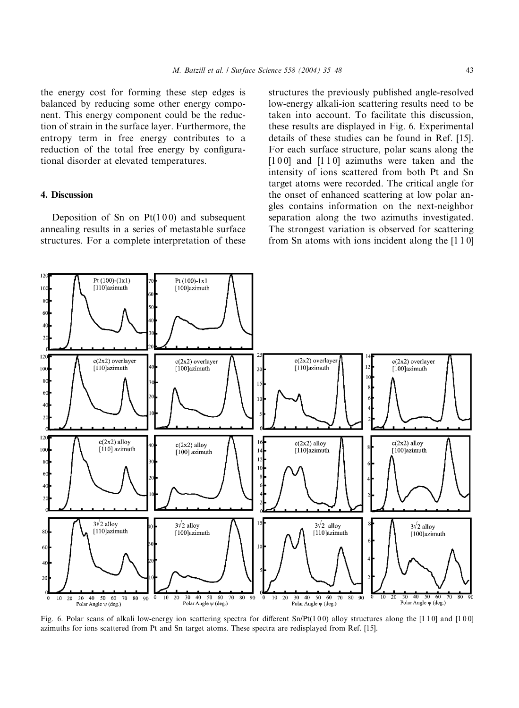the energy cost for forming these step edges is balanced by reducing some other energy component. This energy component could be the reduction of strain in the surface layer. Furthermore, the entropy term in free energy contributes to a reduction of the total free energy by configurational disorder at elevated temperatures.

# 4. Discussion

Deposition of Sn on  $Pt(100)$  and subsequent annealing results in a series of metastable surface structures. For a complete interpretation of these structures the previously published angle-resolved low-energy alkali-ion scattering results need to be taken into account. To facilitate this discussion, these results are displayed in Fig. 6. Experimental details of these studies can be found in Ref. [15]. For each surface structure, polar scans along the  $[1 0 0]$  and  $[1 1 0]$  azimuths were taken and the intensity of ions scattered from both Pt and Sn target atoms were recorded. The critical angle for the onset of enhanced scattering at low polar angles contains information on the next-neighbor separation along the two azimuths investigated. The strongest variation is observed for scattering from Sn atoms with ions incident along the [1 1 0]



Fig. 6. Polar scans of alkali low-energy ion scattering spectra for different Sn/Pt(100) alloy structures along the [110] and [100] azimuths for ions scattered from Pt and Sn target atoms. These spectra are redisplayed from Ref. [15].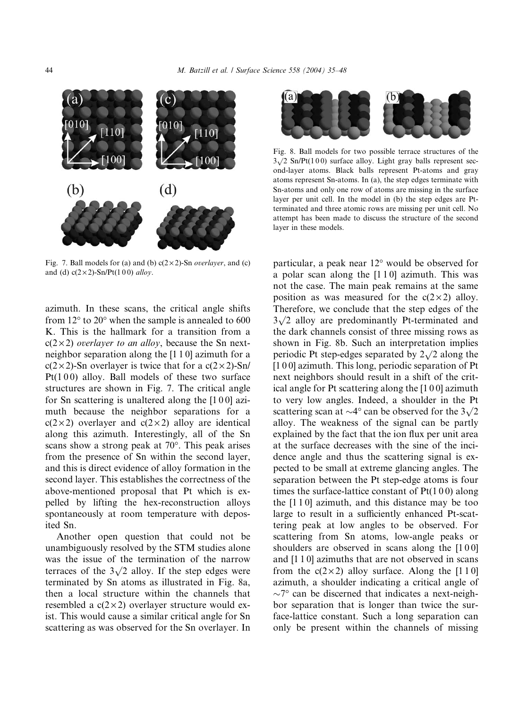

Fig. 7. Ball models for (a) and (b)  $c(2 \times 2)$ -Sn *overlayer*, and (c) and (d)  $c(2 \times 2)$ -Sn/Pt(100) alloy.

azimuth. In these scans, the critical angle shifts from  $12^{\circ}$  to  $20^{\circ}$  when the sample is annealed to 600 K. This is the hallmark for a transition from a  $c(2\times2)$  overlayer to an alloy, because the Sn nextneighbor separation along the [1 1 0] azimuth for a  $c(2\times 2)$ -Sn overlayer is twice that for a  $c(2\times 2)$ -Sn/ Pt( $100$ ) alloy. Ball models of these two surface structures are shown in Fig. 7. The critical angle for Sn scattering is unaltered along the [1 0 0] azimuth because the neighbor separations for a  $c(2\times 2)$  overlayer and  $c(2\times 2)$  alloy are identical along this azimuth. Interestingly, all of the Sn scans show a strong peak at  $70^{\circ}$ . This peak arises from the presence of Sn within the second layer, and this is direct evidence of alloy formation in the second layer. This establishes the correctness of the above-mentioned proposal that Pt which is expelled by lifting the hex-reconstruction alloys spontaneously at room temperature with deposited Sn.

Another open question that could not be unambiguously resolved by the STM studies alone was the issue of the termination of the narrow terraces of the  $3\sqrt{2}$  alloy. If the step edges were terminated by Sn atoms as illustrated in Fig. 8a, then a local structure within the channels that resembled a  $c(2\times2)$  overlayer structure would exist. This would cause a similar critical angle for Sn scattering as was observed for the Sn overlayer. In



Fig. 8. Ball models for two possible terrace structures of the  $3\sqrt{2}$  Sn/Pt(100) surface alloy. Light gray balls represent second-layer atoms. Black balls represent Pt-atoms and gray atoms represent Sn-atoms. In (a), the step edges terminate with Sn-atoms and only one row of atoms are missing in the surface layer per unit cell. In the model in (b) the step edges are Ptterminated and three atomic rows are missing per unit cell. No attempt has been made to discuss the structure of the second layer in these models.

particular, a peak near  $12^{\circ}$  would be observed for a polar scan along the [1 1 0] azimuth. This was not the case. The main peak remains at the same position as was measured for the  $c(2\times2)$  alloy. Therefore, we conclude that the step edges of the Fiction, we conclude that the step edges of the  $3\sqrt{2}$  alloy are predominantly Pt-terminated and the dark channels consist of three missing rows as shown in Fig. 8b. Such an interpretation implies periodic Pt step-edges separated by  $2\sqrt{2}$  along the [1 0 0] azimuth. This long, periodic separation of Pt next neighbors should result in a shift of the critical angle for Pt scattering along the [1 0 0] azimuth to very low angles. Indeed, a shoulder in the Pt scattering scan at  $\sim$ 4 $^{\circ}$  can be observed for the  $3\sqrt{2}$ alloy. The weakness of the signal can be partly explained by the fact that the ion flux per unit area at the surface decreases with the sine of the incidence angle and thus the scattering signal is expected to be small at extreme glancing angles. The separation between the Pt step-edge atoms is four times the surface-lattice constant of  $Pt(100)$  along the [1 1 0] azimuth, and this distance may be too large to result in a sufficiently enhanced Pt-scattering peak at low angles to be observed. For scattering from Sn atoms, low-angle peaks or shoulders are observed in scans along the [1 0 0] and [1 1 0] azimuths that are not observed in scans from the  $c(2\times2)$  alloy surface. Along the [110] azimuth, a shoulder indicating a critical angle of  $\sim$ 7° can be discerned that indicates a next-neighbor separation that is longer than twice the surface-lattice constant. Such a long separation can only be present within the channels of missing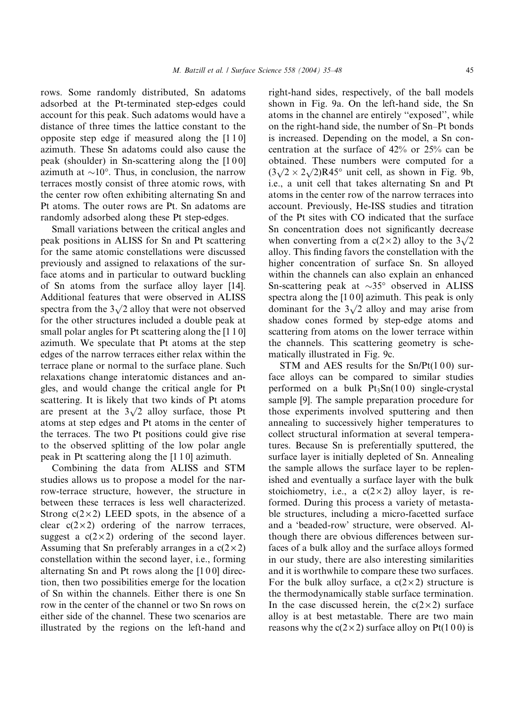rows. Some randomly distributed, Sn adatoms adsorbed at the Pt-terminated step-edges could account for this peak. Such adatoms would have a distance of three times the lattice constant to the opposite step edge if measured along the [1 1 0] azimuth. These Sn adatoms could also cause the peak (shoulder) in Sn-scattering along the [1 0 0] azimuth at  $\sim 10^{\circ}$ . Thus, in conclusion, the narrow terraces mostly consist of three atomic rows, with the center row often exhibiting alternating Sn and Pt atoms. The outer rows are Pt. Sn adatoms are randomly adsorbed along these Pt step-edges.

Small variations between the critical angles and peak positions in ALISS for Sn and Pt scattering for the same atomic constellations were discussed previously and assigned to relaxations of the surface atoms and in particular to outward buckling of Sn atoms from the surface alloy layer [14]. Additional features that were observed in ALISS spectra from the  $3\sqrt{2}$  alloy that were not observed for the other structures included a double peak at small polar angles for Pt scattering along the [1 1 0] azimuth. We speculate that Pt atoms at the step edges of the narrow terraces either relax within the terrace plane or normal to the surface plane. Such relaxations change interatomic distances and angles, and would change the critical angle for Pt scattering. It is likely that two kinds of Pt atoms are present at the  $3\sqrt{2}$  alloy surface, those Pt atoms at step edges and Pt atoms in the center of the terraces. The two Pt positions could give rise to the observed splitting of the low polar angle peak in Pt scattering along the [1 1 0] azimuth.

Combining the data from ALISS and STM studies allows us to propose a model for the narrow-terrace structure, however, the structure in between these terraces is less well characterized. Strong  $c(2\times 2)$  LEED spots, in the absence of a clear  $c(2\times2)$  ordering of the narrow terraces, suggest a  $c(2\times2)$  ordering of the second layer. Assuming that Sn preferably arranges in a  $c(2\times 2)$ constellation within the second layer, i.e., forming alternating Sn and Pt rows along the [1 0 0] direction, then two possibilities emerge for the location of Sn within the channels. Either there is one Sn row in the center of the channel or two Sn rows on either side of the channel. These two scenarios are illustrated by the regions on the left-hand and

right-hand sides, respectively, of the ball models shown in Fig. 9a. On the left-hand side, the Sn atoms in the channel are entirely ''exposed'', while on the right-hand side, the number of Sn–Pt bonds is increased. Depending on the model, a Sn concentration at the surface of 42% or 25% can be obtained. These numbers were computed for a obtained. These numbers were computed for a  $(3\sqrt{2} \times 2\sqrt{2})R45^\circ$  unit cell, as shown in Fig. 9b, i.e., a unit cell that takes alternating Sn and Pt atoms in the center row of the narrow terraces into account. Previously, He-ISS studies and titration of the Pt sites with CO indicated that the surface Sn concentration does not significantly decrease when converting from a  $c(2\times2)$  alloy to the  $3\sqrt{2}$ alloy. This finding favors the constellation with the higher concentration of surface Sn. Sn alloyed within the channels can also explain an enhanced Sn-scattering peak at  $\sim 35^\circ$  observed in ALISS spectra along the [100] azimuth. This peak is only dominant for the  $3\sqrt{2}$  alloy and may arise from shadow cones formed by step-edge atoms and scattering from atoms on the lower terrace within the channels. This scattering geometry is schematically illustrated in Fig. 9c.

STM and AES results for the  $Sn/Pt(100)$  surface alloys can be compared to similar studies performed on a bulk  $Pt_3Sn(100)$  single-crystal sample [9]. The sample preparation procedure for those experiments involved sputtering and then annealing to successively higher temperatures to collect structural information at several temperatures. Because Sn is preferentially sputtered, the surface layer is initially depleted of Sn. Annealing the sample allows the surface layer to be replenished and eventually a surface layer with the bulk stoichiometry, i.e., a  $c(2\times2)$  alloy layer, is reformed. During this process a variety of metastable structures, including a micro-facetted surface and a 'beaded-row' structure, were observed. Although there are obvious differences between surfaces of a bulk alloy and the surface alloys formed in our study, there are also interesting similarities and it is worthwhile to compare these two surfaces. For the bulk alloy surface, a  $c(2\times2)$  structure is the thermodynamically stable surface termination. In the case discussed herein, the  $c(2\times2)$  surface alloy is at best metastable. There are two main reasons why the  $c(2 \times 2)$  surface alloy on Pt(100) is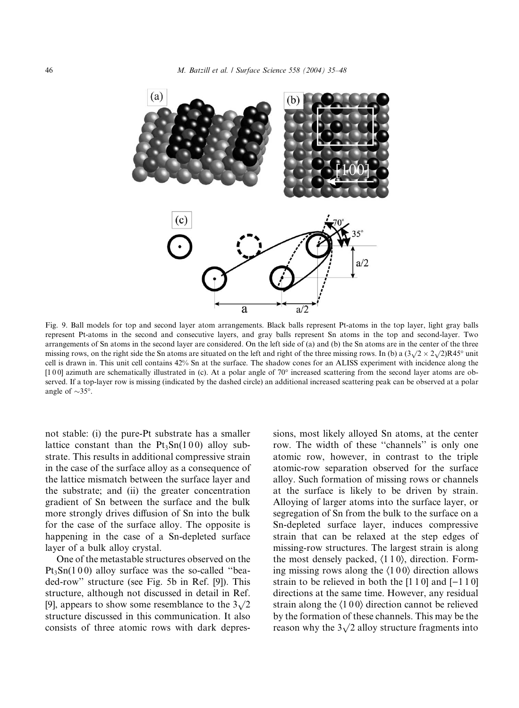

Fig. 9. Ball models for top and second layer atom arrangements. Black balls represent Pt-atoms in the top layer, light gray balls represent Pt-atoms in the second and consecutive layers, and gray balls represent Sn atoms in the top and second-layer. Two arrangements of Sn atoms in the second layer are considered. On the left side of (a) and (b) the Sn atoms are in the center of the three missing rows, on the right side the Sn atoms are situated on the left and right of the three missing rows. In (b) a  $(3\sqrt{2} \times 2\sqrt{2})R45^\circ$  unit missing rows, on the right side the Sn atoms are situated on the left and ri cell is drawn in. This unit cell contains 42% Sn at the surface. The shadow cones for an ALISS experiment with incidence along the  $[1\,0\,0]$  azimuth are schematically illustrated in (c). At a polar angle of 70 $\degree$  increased scattering from the second layer atoms are observed. If a top-layer row is missing (indicated by the dashed circle) an additional increased scattering peak can be observed at a polar angle of  $\sim$ 35°.

not stable: (i) the pure-Pt substrate has a smaller lattice constant than the  $Pt_3Sn(100)$  alloy substrate. This results in additional compressive strain in the case of the surface alloy as a consequence of the lattice mismatch between the surface layer and the substrate; and (ii) the greater concentration gradient of Sn between the surface and the bulk more strongly drives diffusion of Sn into the bulk for the case of the surface alloy. The opposite is happening in the case of a Sn-depleted surface layer of a bulk alloy crystal.

One of the metastable structures observed on the  $Pt<sub>3</sub>Sn(100)$  alloy surface was the so-called "beaded-row'' structure (see Fig. 5b in Ref. [9]). This structure, although not discussed in detail in Ref. [9], appears to show some resemblance to the  $3\sqrt{2}$ structure discussed in this communication. It also consists of three atomic rows with dark depressions, most likely alloyed Sn atoms, at the center row. The width of these ''channels'' is only one atomic row, however, in contrast to the triple atomic-row separation observed for the surface alloy. Such formation of missing rows or channels at the surface is likely to be driven by strain. Alloying of larger atoms into the surface layer, or segregation of Sn from the bulk to the surface on a Sn-depleted surface layer, induces compressive strain that can be relaxed at the step edges of missing-row structures. The largest strain is along the most densely packed,  $\langle 110 \rangle$ , direction. Forming missing rows along the  $\langle 100 \rangle$  direction allows strain to be relieved in both the  $[1\ 1\ 0]$  and  $[-1\ 1\ 0]$ directions at the same time. However, any residual strain along the  $\langle 100 \rangle$  direction cannot be relieved by the formation of these channels. This may be the reason why the  $3\sqrt{2}$  alloy structure fragments into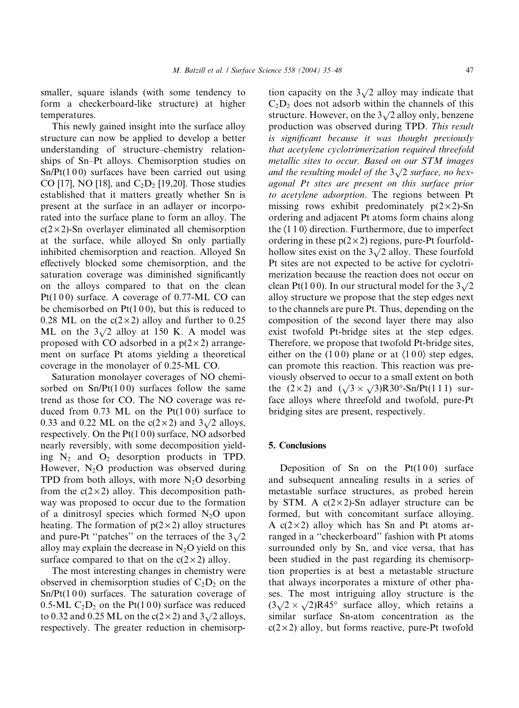smaller, square islands (with some tendency to form a checkerboard-like structure) at higher temperatures.

This newly gained insight into the surface alloy structure can now be applied to develop a better understanding of structure–chemistry relationships of Sn–Pt alloys. Chemisorption studies on  $Sn/Pt(100)$  surfaces have been carried out using CO [17], NO [18], and  $C_2D_2$  [19,20]. Those studies established that it matters greatly whether Sn is present at the surface in an adlayer or incorporated into the surface plane to form an alloy. The  $c(2\times 2)$ -Sn overlayer eliminated all chemisorption at the surface, while alloyed Sn only partially inhibited chemisorption and reaction. Alloyed Sn effectively blocked some chemisorption, and the saturation coverage was diminished significantly on the alloys compared to that on the clean Pt( $100$ ) surface. A coverage of 0.77-ML CO can be chemisorbed on  $Pt(100)$ , but this is reduced to 0.28 ML on the  $c(2\times2)$  alloy and further to 0.25 ML on the  $3\sqrt{2}$  alloy at 150 K. A model was proposed with CO adsorbed in a  $p(2 \times 2)$  arrangement on surface Pt atoms yielding a theoretical coverage in the monolayer of 0.25-ML CO.

Saturation monolayer coverages of NO chemisorbed on  $Sn/Pt(100)$  surfaces follow the same trend as those for CO. The NO coverage was reduced from 0.73 ML on the  $Pt(100)$  surface to 0.33 and 0.22 ML on the  $c(2 \times 2)$  and  $3\sqrt{2}$  alloys, respectively. On the  $Pt(100)$  surface, NO adsorbed nearly reversibly, with some decomposition yielding  $N_2$  and  $O_2$  desorption products in TPD. However,  $N_2O$  production was observed during TPD from both alloys, with more  $N_2O$  desorbing from the  $c(2\times2)$  alloy. This decomposition pathway was proposed to occur due to the formation of a dinitrosyl species which formed  $N_2O$  upon heating. The formation of  $p(2 \times 2)$  alloy structures and pure-Pt "patches" on the terraces of the  $3\sqrt{2}$ alloy may explain the decrease in  $N_2O$  yield on this surface compared to that on the  $c(2\times2)$  alloy.

The most interesting changes in chemistry were observed in chemisorption studies of  $C_2D_2$  on the  $Sn/Pt(100)$  surfaces. The saturation coverage of 0.5-ML  $C_2D_2$  on the Pt(100) surface was reduced to 0.32 and 0.25 ML on the  $c(2 \times 2)$  and  $3\sqrt{2}$  alloys, respectively. The greater reduction in chemisorption capacity on the  $3\sqrt{2}$  alloy may indicate that  $C_2D_2$  does not adsorb within the channels of this structure. However, on the  $3\sqrt{2}$  alloy only, benzene production was observed during TPD. This result is significant because it was thought previously that acetylene cyclotrimerization required threefold metallic sites to occur. Based on our STM images metulut sites to occur. Based on our S1  $\mu$  images<br>and the resulting model of the  $3\sqrt{2}$  surface, no hexagonal Pt sites are present on this surface prior to acetylene adsorption. The regions between Pt missing rows exhibit predominately  $p(2\times2)$ -Sn ordering and adjacent Pt atoms form chains along the  $\langle 110 \rangle$  direction. Furthermore, due to imperfect ordering in these  $p(2\times 2)$  regions, pure-Pt fourfoldhollow sites exist on the  $3\sqrt{2}$  alloy. These fourfold Pt sites are not expected to be active for cyclotrimerization because the reaction does not occur on clean Pt(100). In our structural model for the  $3\sqrt{2}$ alloy structure we propose that the step edges next to the channels are pure Pt. Thus, depending on the composition of the second layer there may also exist twofold Pt-bridge sites at the step edges. Therefore, we propose that twofold Pt-bridge sites, either on the (100) plane or at  $\langle 100 \rangle$  step edges, can promote this reaction. This reaction was previously observed to occur to a small extent on both the  $(2 \times 2)$  and  $(\sqrt{3} \times \sqrt{3})R30^\circ$ -Sn/Pt(1 1 1) surface alloys where threefold and twofold, pure-Pt bridging sites are present, respectively.

### 5. Conclusions

Deposition of Sn on the  $Pt(100)$  surface and subsequent annealing results in a series of metastable surface structures, as probed herein by STM. A  $c(2\times2)$ -Sn adlayer structure can be formed, but with concomitant surface alloying. A  $c(2\times2)$  alloy which has Sn and Pt atoms arranged in a ''checkerboard'' fashion with Pt atoms surrounded only by Sn, and vice versa, that has been studied in the past regarding its chemisorption properties is at best a metastable structure that always incorporates a mixture of other phases. The most intriguing alloy structure is the  $(3\sqrt{2} \times \sqrt{2})R45^{\circ}$  surface alloy, which retains a similar surface Sn-atom concentration as the  $c(2\times 2)$  alloy, but forms reactive, pure-Pt twofold